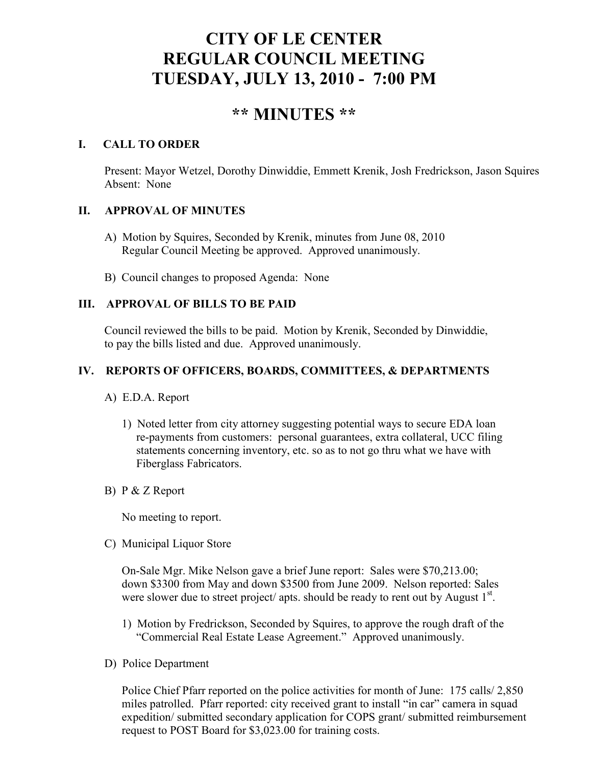# **CITY OF LE CENTER REGULAR COUNCIL MEETING TUESDAY, JULY 13, 2010 - 7:00 PM**

# **\*\* MINUTES \*\***

# **I. CALL TO ORDER**

Present: Mayor Wetzel, Dorothy Dinwiddie, Emmett Krenik, Josh Fredrickson, Jason Squires Absent: None

# **II. APPROVAL OF MINUTES**

- A) Motion by Squires, Seconded by Krenik, minutes from June 08, 2010 Regular Council Meeting be approved. Approved unanimously.
- B) Council changes to proposed Agenda: None

# **III. APPROVAL OF BILLS TO BE PAID**

Council reviewed the bills to be paid. Motion by Krenik, Seconded by Dinwiddie, to pay the bills listed and due. Approved unanimously.

# **IV. REPORTS OF OFFICERS, BOARDS, COMMITTEES, & DEPARTMENTS**

- A) E.D.A. Report
	- 1) Noted letter from city attorney suggesting potential ways to secure EDA loan re-payments from customers: personal guarantees, extra collateral, UCC filing statements concerning inventory, etc. so as to not go thru what we have with Fiberglass Fabricators.
- B) P & Z Report

No meeting to report.

C) Municipal Liquor Store

On-Sale Mgr. Mike Nelson gave a brief June report: Sales were \$70,213.00; down \$3300 from May and down \$3500 from June 2009. Nelson reported: Sales were slower due to street project/ apts. should be ready to rent out by August  $1<sup>st</sup>$ .

- 1) Motion by Fredrickson, Seconded by Squires, to approve the rough draft of the "Commercial Real Estate Lease Agreement." Approved unanimously.
- D) Police Department

Police Chief Pfarr reported on the police activities for month of June: 175 calls/ 2,850 miles patrolled. Pfarr reported: city received grant to install "in car" camera in squad expedition/ submitted secondary application for COPS grant/ submitted reimbursement request to POST Board for \$3,023.00 for training costs.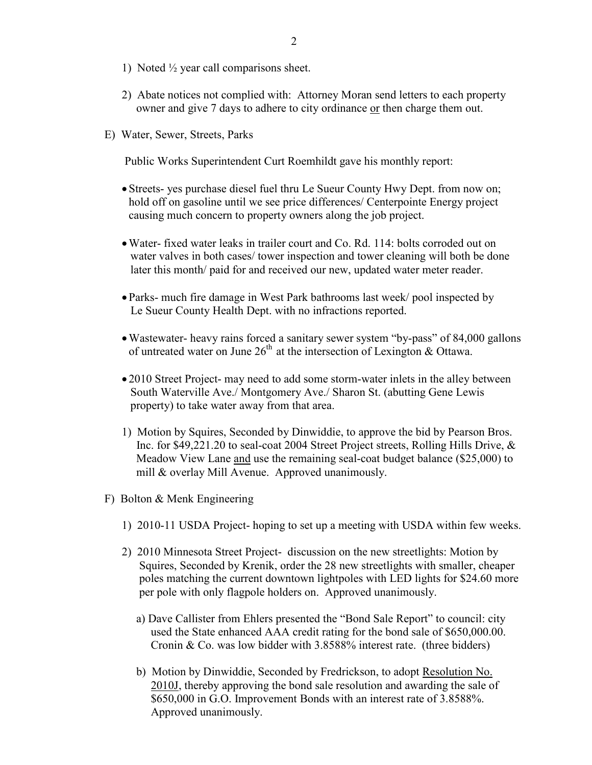- 1) Noted ½ year call comparisons sheet.
- 2) Abate notices not complied with: Attorney Moran send letters to each property owner and give 7 days to adhere to city ordinance or then charge them out.
- E) Water, Sewer, Streets, Parks

Public Works Superintendent Curt Roemhildt gave his monthly report:

- Streets- yes purchase diesel fuel thru Le Sueur County Hwy Dept. from now on; hold off on gasoline until we see price differences/ Centerpointe Energy project causing much concern to property owners along the job project.
- •Water- fixed water leaks in trailer court and Co. Rd. 114: bolts corroded out on water valves in both cases/ tower inspection and tower cleaning will both be done later this month/ paid for and received our new, updated water meter reader.
- Parks- much fire damage in West Park bathrooms last week/ pool inspected by Le Sueur County Health Dept. with no infractions reported.
- •Wastewater- heavy rains forced a sanitary sewer system "by-pass" of 84,000 gallons of untreated water on June  $26<sup>th</sup>$  at the intersection of Lexington & Ottawa.
- 2010 Street Project- may need to add some storm-water inlets in the alley between South Waterville Ave./ Montgomery Ave./ Sharon St. (abutting Gene Lewis property) to take water away from that area.
- 1) Motion by Squires, Seconded by Dinwiddie, to approve the bid by Pearson Bros. Inc. for \$49,221.20 to seal-coat 2004 Street Project streets, Rolling Hills Drive, & Meadow View Lane and use the remaining seal-coat budget balance (\$25,000) to mill & overlay Mill Avenue. Approved unanimously.
- F) Bolton & Menk Engineering
	- 1) 2010-11 USDA Project- hoping to set up a meeting with USDA within few weeks.
	- 2) 2010 Minnesota Street Project- discussion on the new streetlights: Motion by Squires, Seconded by Krenik, order the 28 new streetlights with smaller, cheaper poles matching the current downtown lightpoles with LED lights for \$24.60 more per pole with only flagpole holders on. Approved unanimously.
		- a) Dave Callister from Ehlers presented the "Bond Sale Report" to council: city used the State enhanced AAA credit rating for the bond sale of \$650,000.00. Cronin & Co. was low bidder with 3.8588% interest rate. (three bidders)
		- b) Motion by Dinwiddie, Seconded by Fredrickson, to adopt Resolution No. 2010J, thereby approving the bond sale resolution and awarding the sale of \$650,000 in G.O. Improvement Bonds with an interest rate of 3.8588%. Approved unanimously.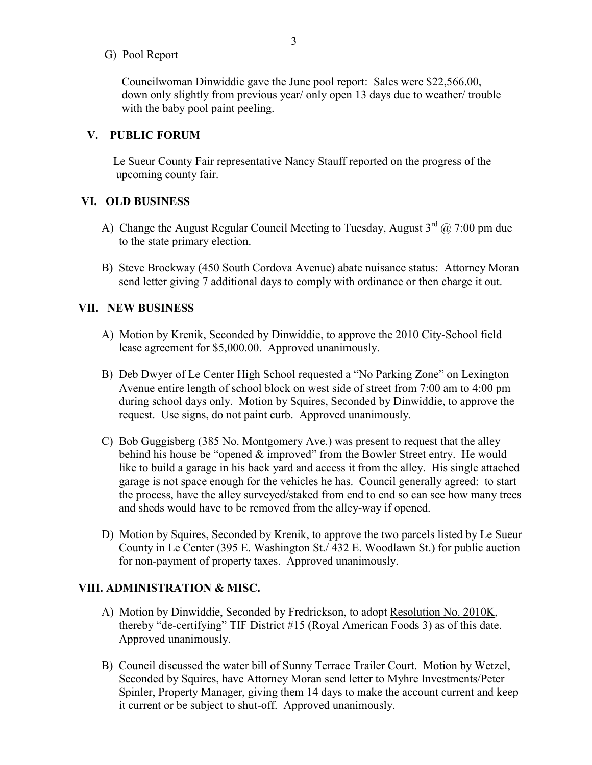G) Pool Report

 Councilwoman Dinwiddie gave the June pool report: Sales were \$22,566.00, down only slightly from previous year/ only open 13 days due to weather/ trouble with the baby pool paint peeling.

#### **V. PUBLIC FORUM**

 Le Sueur County Fair representative Nancy Stauff reported on the progress of the upcoming county fair.

# **VI. OLD BUSINESS**

- A) Change the August Regular Council Meeting to Tuesday, August  $3<sup>rd</sup>$  ( $\hat{\omega}$ ) 7:00 pm due to the state primary election.
- B) Steve Brockway (450 South Cordova Avenue) abate nuisance status: Attorney Moran send letter giving 7 additional days to comply with ordinance or then charge it out.

#### **VII. NEW BUSINESS**

- A) Motion by Krenik, Seconded by Dinwiddie, to approve the 2010 City-School field lease agreement for \$5,000.00. Approved unanimously.
- B) Deb Dwyer of Le Center High School requested a "No Parking Zone" on Lexington Avenue entire length of school block on west side of street from 7:00 am to 4:00 pm during school days only. Motion by Squires, Seconded by Dinwiddie, to approve the request. Use signs, do not paint curb. Approved unanimously.
- C) Bob Guggisberg (385 No. Montgomery Ave.) was present to request that the alley behind his house be "opened & improved" from the Bowler Street entry. He would like to build a garage in his back yard and access it from the alley. His single attached garage is not space enough for the vehicles he has. Council generally agreed: to start the process, have the alley surveyed/staked from end to end so can see how many trees and sheds would have to be removed from the alley-way if opened.
- D) Motion by Squires, Seconded by Krenik, to approve the two parcels listed by Le Sueur County in Le Center (395 E. Washington St./ 432 E. Woodlawn St.) for public auction for non-payment of property taxes. Approved unanimously.

#### **VIII. ADMINISTRATION & MISC.**

- A) Motion by Dinwiddie, Seconded by Fredrickson, to adopt Resolution No. 2010K, thereby "de-certifying" TIF District #15 (Royal American Foods 3) as of this date. Approved unanimously.
- B) Council discussed the water bill of Sunny Terrace Trailer Court. Motion by Wetzel, Seconded by Squires, have Attorney Moran send letter to Myhre Investments/Peter Spinler, Property Manager, giving them 14 days to make the account current and keep it current or be subject to shut-off. Approved unanimously.